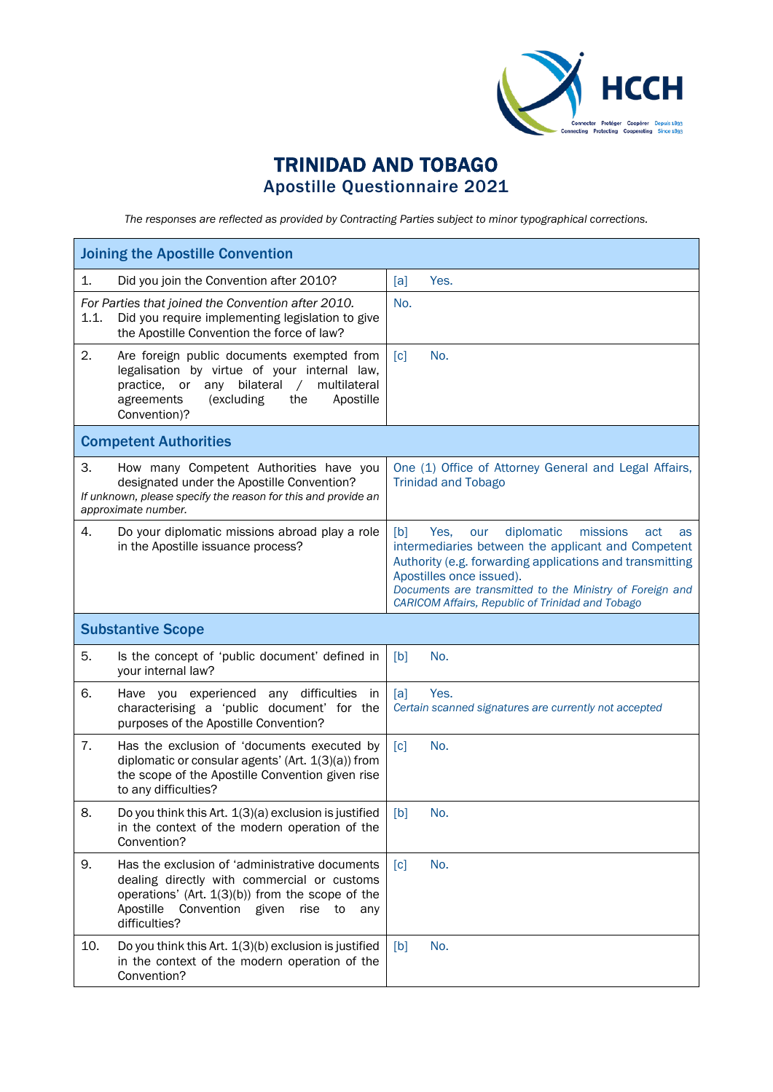

## TRINIDAD AND TOBAGO Apostille Questionnaire 2021

*The responses are reflected as provided by Contracting Parties subject to minor typographical corrections.*

| <b>Joining the Apostille Convention</b> |                                                                                                                                                                                                                                 |                                                                                                                                                                                                                                                                                                                         |  |
|-----------------------------------------|---------------------------------------------------------------------------------------------------------------------------------------------------------------------------------------------------------------------------------|-------------------------------------------------------------------------------------------------------------------------------------------------------------------------------------------------------------------------------------------------------------------------------------------------------------------------|--|
| 1.                                      | Did you join the Convention after 2010?                                                                                                                                                                                         | [a]<br>Yes.                                                                                                                                                                                                                                                                                                             |  |
| 1.1.                                    | For Parties that joined the Convention after 2010.<br>Did you require implementing legislation to give<br>the Apostille Convention the force of law?                                                                            | No.                                                                                                                                                                                                                                                                                                                     |  |
| 2.                                      | Are foreign public documents exempted from<br>legalisation by virtue of your internal law,<br>or<br>bilateral<br>multilateral<br>practice,<br>any<br>$\sqrt{2}$<br>agreements<br>(excluding<br>Apostille<br>the<br>Convention)? | $\lceil c \rceil$<br>No.                                                                                                                                                                                                                                                                                                |  |
| <b>Competent Authorities</b>            |                                                                                                                                                                                                                                 |                                                                                                                                                                                                                                                                                                                         |  |
| З.                                      | How many Competent Authorities have you<br>designated under the Apostille Convention?<br>If unknown, please specify the reason for this and provide an<br>approximate number.                                                   | One (1) Office of Attorney General and Legal Affairs,<br><b>Trinidad and Tobago</b>                                                                                                                                                                                                                                     |  |
| 4.                                      | Do your diplomatic missions abroad play a role<br>in the Apostille issuance process?                                                                                                                                            | diplomatic<br>[b]<br>Yes.<br>missions<br>our<br>act<br>as<br>intermediaries between the applicant and Competent<br>Authority (e.g. forwarding applications and transmitting<br>Apostilles once issued).<br>Documents are transmitted to the Ministry of Foreign and<br>CARICOM Affairs, Republic of Trinidad and Tobago |  |
| <b>Substantive Scope</b>                |                                                                                                                                                                                                                                 |                                                                                                                                                                                                                                                                                                                         |  |
| 5.                                      | Is the concept of 'public document' defined in                                                                                                                                                                                  | [b]<br>No.                                                                                                                                                                                                                                                                                                              |  |
|                                         | your internal law?                                                                                                                                                                                                              |                                                                                                                                                                                                                                                                                                                         |  |
| 6.                                      | Have you experienced any difficulties<br>in<br>characterising a 'public document' for the<br>purposes of the Apostille Convention?                                                                                              | [a]<br>Yes.<br>Certain scanned signatures are currently not accepted                                                                                                                                                                                                                                                    |  |
| 7.                                      | Has the exclusion of 'documents executed by<br>diplomatic or consular agents' (Art. $1(3)(a)$ ) from<br>the scope of the Apostille Convention given rise<br>to any difficulties?                                                | [c]<br>No.                                                                                                                                                                                                                                                                                                              |  |
| 8.                                      | Do you think this Art. 1(3)(a) exclusion is justified<br>in the context of the modern operation of the<br>Convention?                                                                                                           | [b]<br>No.                                                                                                                                                                                                                                                                                                              |  |
| 9.                                      | Has the exclusion of 'administrative documents<br>dealing directly with commercial or customs<br>operations' (Art. $1(3)(b)$ ) from the scope of the<br>Convention given<br>Apostille<br>rise<br>to<br>any<br>difficulties?     | No.<br>$\lceil c \rceil$                                                                                                                                                                                                                                                                                                |  |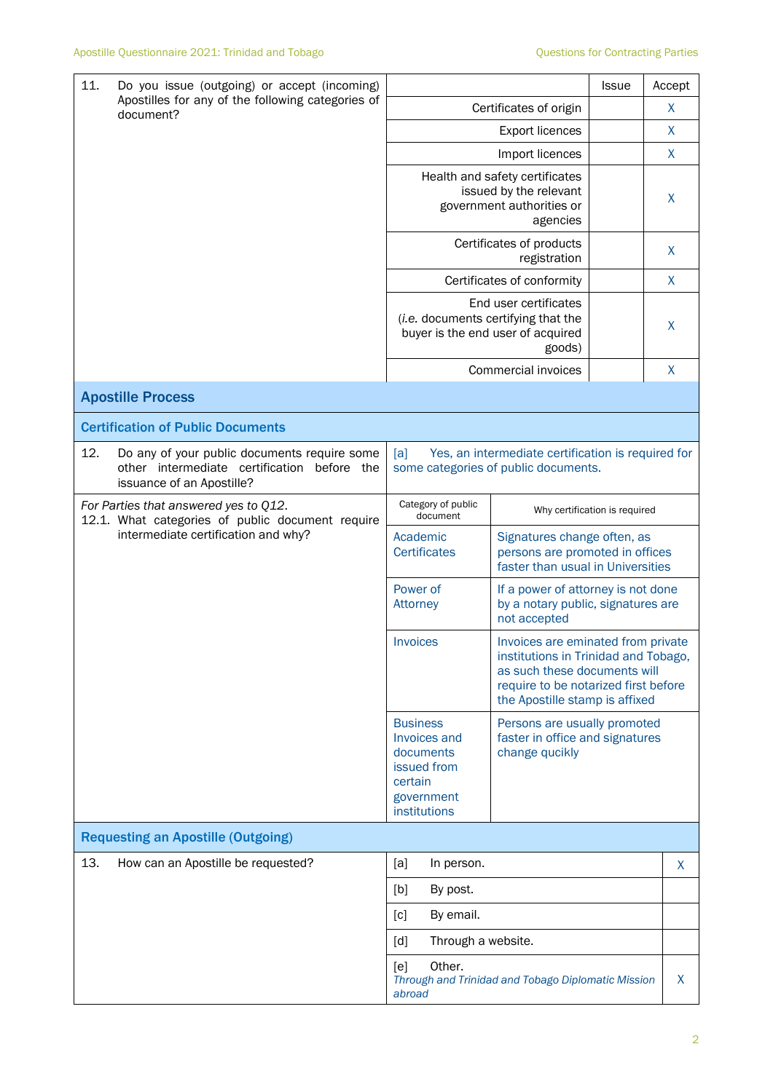| 11.<br>Do you issue (outgoing) or accept (incoming)<br>Apostilles for any of the following categories of<br>document?              | Certificates of origin                                                                               | <b>Issue</b>                                                                                                                                                                         | Accept<br>X  |              |  |
|------------------------------------------------------------------------------------------------------------------------------------|------------------------------------------------------------------------------------------------------|--------------------------------------------------------------------------------------------------------------------------------------------------------------------------------------|--------------|--------------|--|
|                                                                                                                                    |                                                                                                      |                                                                                                                                                                                      | X            |              |  |
|                                                                                                                                    |                                                                                                      | Import licences                                                                                                                                                                      |              | $\mathsf{X}$ |  |
|                                                                                                                                    | Health and safety certificates<br>issued by the relevant<br>government authorities or                |                                                                                                                                                                                      | X            |              |  |
|                                                                                                                                    | Certificates of products                                                                             |                                                                                                                                                                                      | X            |              |  |
|                                                                                                                                    | Certificates of conformity                                                                           |                                                                                                                                                                                      | $\mathsf{X}$ |              |  |
|                                                                                                                                    | End user certificates<br>(i.e. documents certifying that the<br>buyer is the end user of acquired    |                                                                                                                                                                                      | X            |              |  |
|                                                                                                                                    |                                                                                                      | Commercial invoices                                                                                                                                                                  |              | X            |  |
| <b>Apostille Process</b>                                                                                                           |                                                                                                      |                                                                                                                                                                                      |              |              |  |
| <b>Certification of Public Documents</b>                                                                                           |                                                                                                      |                                                                                                                                                                                      |              |              |  |
| 12.<br>Do any of your public documents require some<br>other intermediate certification<br>before the<br>issuance of an Apostille? | Yes, an intermediate certification is required for<br>[a]<br>some categories of public documents.    |                                                                                                                                                                                      |              |              |  |
| For Parties that answered yes to Q12.<br>12.1. What categories of public document require                                          | Category of public<br>document                                                                       | Why certification is required                                                                                                                                                        |              |              |  |
| intermediate certification and why?                                                                                                | Academic<br><b>Certificates</b>                                                                      | Signatures change often, as<br>persons are promoted in offices<br>faster than usual in Universities                                                                                  |              |              |  |
|                                                                                                                                    | Power of<br><b>Attorney</b>                                                                          | If a power of attorney is not done<br>by a notary public, signatures are<br>not accepted                                                                                             |              |              |  |
|                                                                                                                                    | <b>Invoices</b>                                                                                      | Invoices are eminated from private<br>institutions in Trinidad and Tobago,<br>as such these documents will<br>require to be notarized first before<br>the Apostille stamp is affixed |              |              |  |
|                                                                                                                                    | <b>Business</b><br>Invoices and<br>documents<br>issued from<br>certain<br>government<br>institutions | Persons are usually promoted<br>faster in office and signatures<br>change qucikly                                                                                                    |              |              |  |
| <b>Requesting an Apostille (Outgoing)</b>                                                                                          |                                                                                                      |                                                                                                                                                                                      |              |              |  |
| 13.<br>How can an Apostille be requested?                                                                                          | [a]<br>In person.                                                                                    |                                                                                                                                                                                      |              | X            |  |
|                                                                                                                                    | [b]<br>By post.                                                                                      |                                                                                                                                                                                      |              |              |  |
|                                                                                                                                    | By email.<br>[c]                                                                                     |                                                                                                                                                                                      |              |              |  |
|                                                                                                                                    | Through a website.<br>[d]                                                                            |                                                                                                                                                                                      |              |              |  |
|                                                                                                                                    | Other.<br>[e]<br>Through and Trinidad and Tobago Diplomatic Mission<br>abroad                        |                                                                                                                                                                                      |              | X            |  |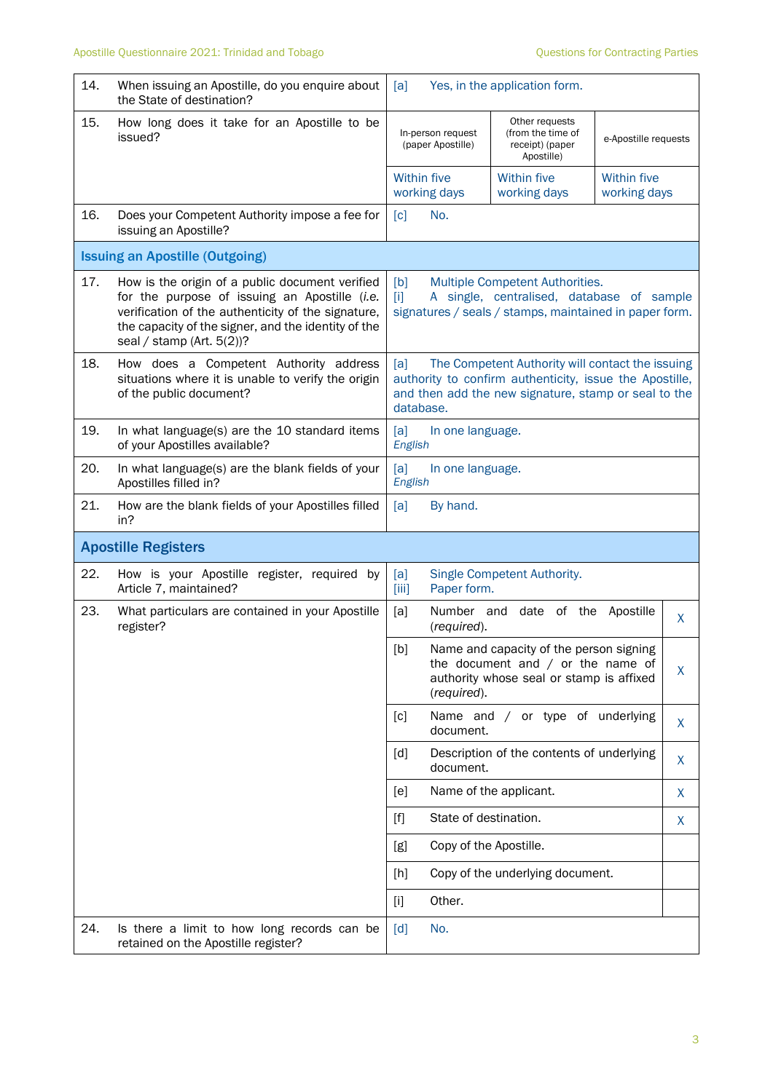| 14.                        | When issuing an Apostille, do you enquire about<br>the State of destination?                                                                                                                                                                  | [a]                                    | Yes, in the application form.                                                                                                                                       |                                    |   |
|----------------------------|-----------------------------------------------------------------------------------------------------------------------------------------------------------------------------------------------------------------------------------------------|----------------------------------------|---------------------------------------------------------------------------------------------------------------------------------------------------------------------|------------------------------------|---|
| 15.                        | How long does it take for an Apostille to be<br>issued?                                                                                                                                                                                       | In-person request<br>(paper Apostille) | Other requests<br>(from the time of<br>receipt) (paper<br>Apostille)                                                                                                | e-Apostille requests               |   |
|                            |                                                                                                                                                                                                                                               | <b>Within five</b><br>working days     | <b>Within five</b><br>working days                                                                                                                                  | <b>Within five</b><br>working days |   |
| 16.                        | Does your Competent Authority impose a fee for<br>issuing an Apostille?                                                                                                                                                                       | [c]<br>No.                             |                                                                                                                                                                     |                                    |   |
|                            | <b>Issuing an Apostille (Outgoing)</b>                                                                                                                                                                                                        |                                        |                                                                                                                                                                     |                                    |   |
| 17.                        | How is the origin of a public document verified<br>for the purpose of issuing an Apostille (i.e.<br>verification of the authenticity of the signature,<br>the capacity of the signer, and the identity of the<br>seal / stamp (Art. $5(2)$ )? | [b]<br>[1]                             | Multiple Competent Authorities.<br>A single, centralised, database of sample<br>signatures / seals / stamps, maintained in paper form.                              |                                    |   |
| 18.                        | How does a Competent Authority address<br>situations where it is unable to verify the origin<br>of the public document?                                                                                                                       | [a]<br>database.                       | The Competent Authority will contact the issuing<br>authority to confirm authenticity, issue the Apostille,<br>and then add the new signature, stamp or seal to the |                                    |   |
| 19.                        | In what language(s) are the 10 standard items<br>of your Apostilles available?                                                                                                                                                                | [a]<br>In one language.<br>English     |                                                                                                                                                                     |                                    |   |
| 20.                        | In what language(s) are the blank fields of your<br>Apostilles filled in?                                                                                                                                                                     | [a]<br>In one language.<br>English     |                                                                                                                                                                     |                                    |   |
| 21.                        | How are the blank fields of your Apostilles filled<br>in?                                                                                                                                                                                     | [a]<br>By hand.                        |                                                                                                                                                                     |                                    |   |
| <b>Apostille Registers</b> |                                                                                                                                                                                                                                               |                                        |                                                                                                                                                                     |                                    |   |
| 22.                        | How is your Apostille register, required by<br>Article 7, maintained?                                                                                                                                                                         | [a]<br>Paper form.<br>[iii]            | Single Competent Authority.                                                                                                                                         |                                    |   |
| 23.                        | What particulars are contained in your Apostille<br>register?                                                                                                                                                                                 | Number and<br>[a]<br>(required).       | date of the                                                                                                                                                         | Apostille                          | X |
|                            |                                                                                                                                                                                                                                               | [b]<br>(required).                     | Name and capacity of the person signing<br>the document and $/$ or the name of<br>authority whose seal or stamp is affixed                                          |                                    | X |
|                            |                                                                                                                                                                                                                                               | [c]<br>document.                       | Name and / or type of underlying                                                                                                                                    |                                    | X |
|                            |                                                                                                                                                                                                                                               | [d]<br>document.                       | Description of the contents of underlying                                                                                                                           |                                    | X |
|                            |                                                                                                                                                                                                                                               | [e]                                    | Name of the applicant.                                                                                                                                              |                                    | X |
|                            |                                                                                                                                                                                                                                               | State of destination.<br>$[f]$         |                                                                                                                                                                     |                                    | X |
|                            |                                                                                                                                                                                                                                               | [g]<br>Copy of the Apostille.          |                                                                                                                                                                     |                                    |   |
|                            |                                                                                                                                                                                                                                               | [h]                                    | Copy of the underlying document.                                                                                                                                    |                                    |   |
|                            |                                                                                                                                                                                                                                               | Other.<br>$[1]$                        |                                                                                                                                                                     |                                    |   |
| 24.                        | Is there a limit to how long records can be<br>retained on the Apostille register?                                                                                                                                                            | [d]<br>No.                             |                                                                                                                                                                     |                                    |   |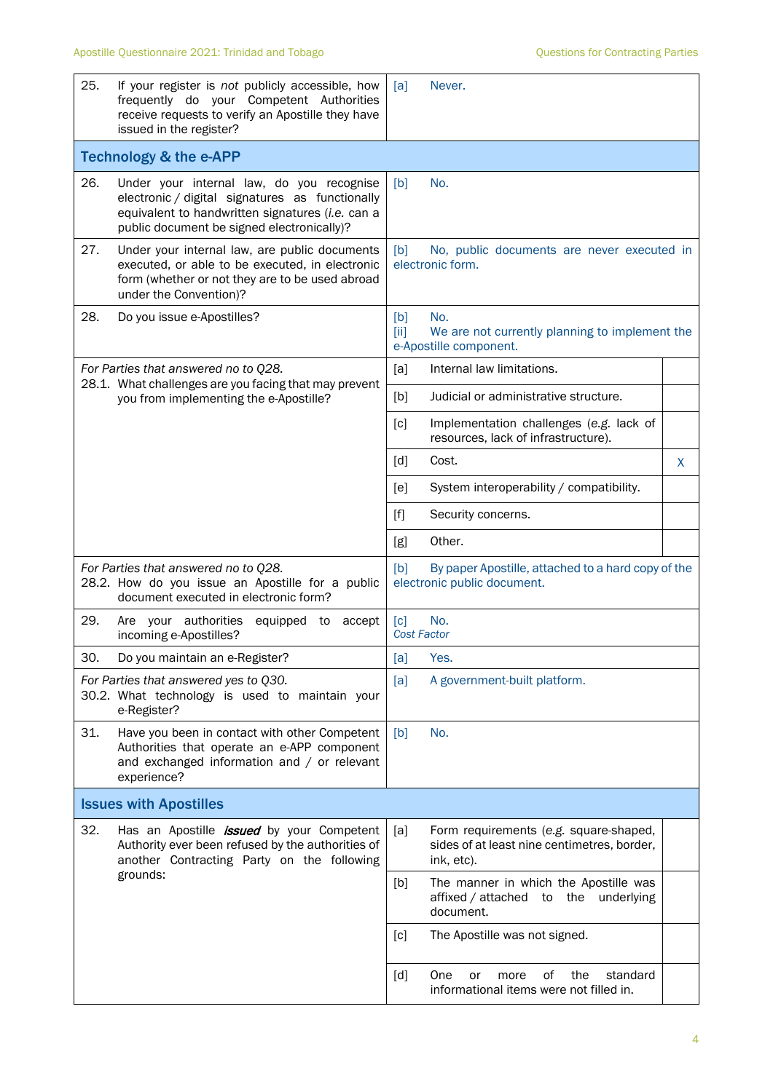| 25.                                                                                             | If your register is not publicly accessible, how<br>frequently do your Competent Authorities<br>receive requests to verify an Apostille they have<br>issued in the register?                   | [a]                                                                            | Never.                                                                                              |   |  |
|-------------------------------------------------------------------------------------------------|------------------------------------------------------------------------------------------------------------------------------------------------------------------------------------------------|--------------------------------------------------------------------------------|-----------------------------------------------------------------------------------------------------|---|--|
|                                                                                                 | <b>Technology &amp; the e-APP</b>                                                                                                                                                              |                                                                                |                                                                                                     |   |  |
| 26.                                                                                             | Under your internal law, do you recognise<br>electronic / digital signatures as functionally<br>equivalent to handwritten signatures (i.e. can a<br>public document be signed electronically)? | [b]                                                                            | No.                                                                                                 |   |  |
| 27.                                                                                             | Under your internal law, are public documents<br>executed, or able to be executed, in electronic<br>form (whether or not they are to be used abroad<br>under the Convention)?                  | [b]                                                                            | No, public documents are never executed in<br>electronic form.                                      |   |  |
| 28.                                                                                             | Do you issue e-Apostilles?                                                                                                                                                                     | [b]<br>[iii]                                                                   | No.<br>We are not currently planning to implement the<br>e-Apostille component.                     |   |  |
|                                                                                                 | For Parties that answered no to Q28.                                                                                                                                                           | [a]                                                                            | Internal law limitations.                                                                           |   |  |
| 28.1. What challenges are you facing that may prevent<br>you from implementing the e-Apostille? | [b]                                                                                                                                                                                            | Judicial or administrative structure.                                          |                                                                                                     |   |  |
|                                                                                                 | [c]                                                                                                                                                                                            | Implementation challenges (e.g. lack of<br>resources, lack of infrastructure). |                                                                                                     |   |  |
|                                                                                                 |                                                                                                                                                                                                | [d]                                                                            | Cost.                                                                                               | X |  |
|                                                                                                 |                                                                                                                                                                                                | [e]                                                                            | System interoperability / compatibility.                                                            |   |  |
|                                                                                                 |                                                                                                                                                                                                | [f]                                                                            | Security concerns.                                                                                  |   |  |
|                                                                                                 |                                                                                                                                                                                                | [g]                                                                            | Other.                                                                                              |   |  |
|                                                                                                 | For Parties that answered no to Q28.<br>28.2. How do you issue an Apostille for a public<br>document executed in electronic form?                                                              | [b]                                                                            | By paper Apostille, attached to a hard copy of the<br>electronic public document.                   |   |  |
| 29.                                                                                             | Are your authorities<br>equipped<br>accept<br>to<br>incoming e-Apostilles?                                                                                                                     | $\lceil c \rceil$<br><b>Cost Factor</b>                                        | No.                                                                                                 |   |  |
| 30.                                                                                             | Do you maintain an e-Register?                                                                                                                                                                 | [a]                                                                            | Yes.                                                                                                |   |  |
|                                                                                                 | For Parties that answered yes to Q30.<br>30.2. What technology is used to maintain your<br>e-Register?                                                                                         | [a]                                                                            | A government-built platform.                                                                        |   |  |
| 31.                                                                                             | Have you been in contact with other Competent<br>Authorities that operate an e-APP component<br>and exchanged information and / or relevant<br>experience?                                     | [b]                                                                            | No.                                                                                                 |   |  |
|                                                                                                 | <b>Issues with Apostilles</b>                                                                                                                                                                  |                                                                                |                                                                                                     |   |  |
| 32.                                                                                             | Has an Apostille <i>issued</i> by your Competent<br>Authority ever been refused by the authorities of<br>another Contracting Party on the following<br>grounds:                                | [a]                                                                            | Form requirements (e.g. square-shaped,<br>sides of at least nine centimetres, border,<br>ink, etc). |   |  |
|                                                                                                 |                                                                                                                                                                                                | [b]                                                                            | The manner in which the Apostille was<br>affixed / attached<br>the underlying<br>to<br>document.    |   |  |
|                                                                                                 |                                                                                                                                                                                                | [c]                                                                            | The Apostille was not signed.                                                                       |   |  |
|                                                                                                 |                                                                                                                                                                                                | [d]                                                                            | of<br>the<br>standard<br>One<br>or<br>more<br>informational items were not filled in.               |   |  |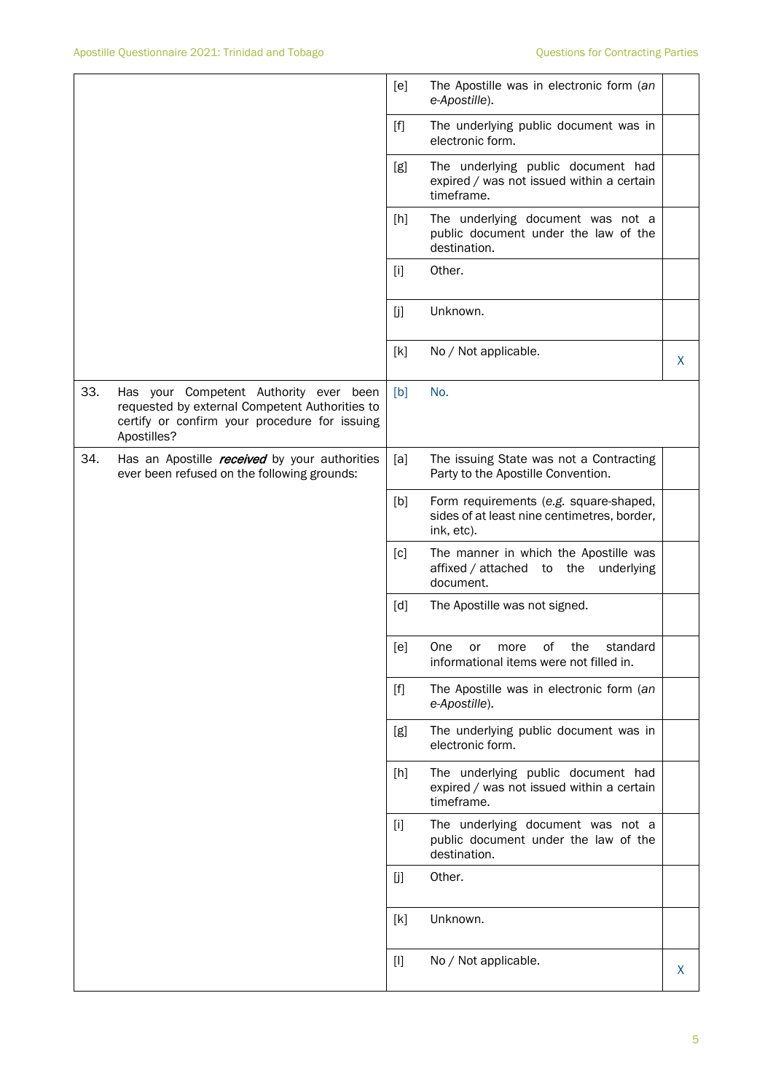|     |                                                                                                                                                          | [e]                                                                                                                                                                                                                                                                                                                                                                                                                                                                                                                                                                                                                                                               | The Apostille was in electronic form (an<br>e-Apostille).                                           |   |
|-----|----------------------------------------------------------------------------------------------------------------------------------------------------------|-------------------------------------------------------------------------------------------------------------------------------------------------------------------------------------------------------------------------------------------------------------------------------------------------------------------------------------------------------------------------------------------------------------------------------------------------------------------------------------------------------------------------------------------------------------------------------------------------------------------------------------------------------------------|-----------------------------------------------------------------------------------------------------|---|
|     |                                                                                                                                                          | $[f]$                                                                                                                                                                                                                                                                                                                                                                                                                                                                                                                                                                                                                                                             | The underlying public document was in<br>electronic form.                                           |   |
|     |                                                                                                                                                          | [g]                                                                                                                                                                                                                                                                                                                                                                                                                                                                                                                                                                                                                                                               | The underlying public document had<br>expired / was not issued within a certain<br>timeframe.       |   |
|     |                                                                                                                                                          | [h]                                                                                                                                                                                                                                                                                                                                                                                                                                                                                                                                                                                                                                                               | The underlying document was not a<br>public document under the law of the<br>destination.           |   |
|     |                                                                                                                                                          | $[1]$                                                                                                                                                                                                                                                                                                                                                                                                                                                                                                                                                                                                                                                             | Other.                                                                                              |   |
|     |                                                                                                                                                          | [j]                                                                                                                                                                                                                                                                                                                                                                                                                                                                                                                                                                                                                                                               | Unknown.                                                                                            |   |
|     |                                                                                                                                                          | [k]                                                                                                                                                                                                                                                                                                                                                                                                                                                                                                                                                                                                                                                               | No / Not applicable.                                                                                | X |
| 33. | Has your Competent Authority ever been<br>requested by external Competent Authorities to<br>certify or confirm your procedure for issuing<br>Apostilles? | [b]                                                                                                                                                                                                                                                                                                                                                                                                                                                                                                                                                                                                                                                               | No.                                                                                                 |   |
| 34. | Has an Apostille <i>received</i> by your authorities<br>ever been refused on the following grounds:                                                      | [a]                                                                                                                                                                                                                                                                                                                                                                                                                                                                                                                                                                                                                                                               | The issuing State was not a Contracting<br>Party to the Apostille Convention.                       |   |
|     |                                                                                                                                                          | [b]                                                                                                                                                                                                                                                                                                                                                                                                                                                                                                                                                                                                                                                               | Form requirements (e.g. square-shaped,<br>sides of at least nine centimetres, border,<br>ink, etc). |   |
|     |                                                                                                                                                          | [c]                                                                                                                                                                                                                                                                                                                                                                                                                                                                                                                                                                                                                                                               | The manner in which the Apostille was<br>affixed / attached to<br>underlying<br>the<br>document.    |   |
|     |                                                                                                                                                          | [d]                                                                                                                                                                                                                                                                                                                                                                                                                                                                                                                                                                                                                                                               | The Apostille was not signed.                                                                       |   |
|     |                                                                                                                                                          | $[e] % \begin{center} % \includegraphics[width=\linewidth]{imagesSupplemental_3.png} % \end{center} % \caption { % \textit{DefNet} of the \textit{DefNet} dataset. % Note that the \textit{DefNet} and \textit{DefNet} dataset. % Note that the \textit{DefNet} and \textit{DefNet} dataset. % Note that the \textit{DefNet} and \textit{DefNet} dataset. % Note that the \textit{DefNet} and \textit{DefNet} dataset. % Note that the \textit{DefNet} and \textit{DefNet} dataset. % Note that the \textit{DefNet} and \textit{DefNet} dataset. % Note that the \textit{DefNet} and \textit{DefNet} dataset. % Note that the \textit{DefNet} and \textit{DefNet$ | One<br>the<br>standard<br>of<br>or<br>more<br>informational items were not filled in.               |   |
|     |                                                                                                                                                          | $[f]$                                                                                                                                                                                                                                                                                                                                                                                                                                                                                                                                                                                                                                                             | The Apostille was in electronic form (an<br>e-Apostille).                                           |   |
|     |                                                                                                                                                          | [g]                                                                                                                                                                                                                                                                                                                                                                                                                                                                                                                                                                                                                                                               | The underlying public document was in<br>electronic form.                                           |   |
|     |                                                                                                                                                          | [h]                                                                                                                                                                                                                                                                                                                                                                                                                                                                                                                                                                                                                                                               | The underlying public document had<br>expired / was not issued within a certain<br>timeframe.       |   |
|     |                                                                                                                                                          | $[1]$                                                                                                                                                                                                                                                                                                                                                                                                                                                                                                                                                                                                                                                             | The underlying document was not a<br>public document under the law of the<br>destination.           |   |
|     |                                                                                                                                                          | [j]                                                                                                                                                                                                                                                                                                                                                                                                                                                                                                                                                                                                                                                               | Other.                                                                                              |   |
|     |                                                                                                                                                          | [k]                                                                                                                                                                                                                                                                                                                                                                                                                                                                                                                                                                                                                                                               | Unknown.                                                                                            |   |
|     |                                                                                                                                                          | $[1]$                                                                                                                                                                                                                                                                                                                                                                                                                                                                                                                                                                                                                                                             | No / Not applicable.                                                                                | X |